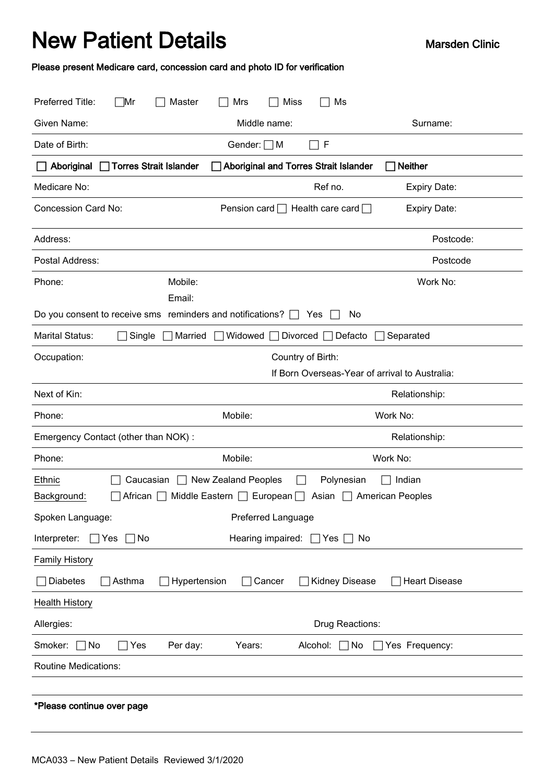## New Patient Details Marsden Clinic

Please present Medicare card, concession card and photo ID for verification

| Preferred Title:<br>⊤Mr<br>Master                                                                        | <b>Miss</b><br>Mrs<br>Ms                                              |                                                |  |  |
|----------------------------------------------------------------------------------------------------------|-----------------------------------------------------------------------|------------------------------------------------|--|--|
| Given Name:                                                                                              | Middle name:                                                          | Surname:                                       |  |  |
| Date of Birth:                                                                                           | $\Box$ F<br>Gender: $\Box$ M                                          |                                                |  |  |
| □ Torres Strait Islander<br><b>Aboriginal and Torres Strait Islander</b><br><b>Neither</b><br>Aboriginal |                                                                       |                                                |  |  |
| Medicare No:                                                                                             | Ref no.                                                               | <b>Expiry Date:</b>                            |  |  |
| <b>Concession Card No:</b>                                                                               | Health care card $\Box$<br>Pension card $\Box$                        | <b>Expiry Date:</b>                            |  |  |
| Address:                                                                                                 |                                                                       | Postcode:                                      |  |  |
| Postal Address:                                                                                          |                                                                       | Postcode                                       |  |  |
| Mobile:<br>Phone:                                                                                        |                                                                       | Work No:                                       |  |  |
| Email:                                                                                                   |                                                                       |                                                |  |  |
| Do you consent to receive sms reminders and notifications? $\Box$                                        | No<br>Yes                                                             |                                                |  |  |
| <b>Marital Status:</b><br>Married<br>Single                                                              | Widowed<br>Divorced<br>Defacto                                        | Separated                                      |  |  |
| Occupation:                                                                                              | Country of Birth:                                                     |                                                |  |  |
|                                                                                                          |                                                                       | If Born Overseas-Year of arrival to Australia: |  |  |
| Next of Kin:                                                                                             |                                                                       | Relationship:                                  |  |  |
|                                                                                                          |                                                                       |                                                |  |  |
| Phone:                                                                                                   | Mobile:                                                               | Work No:                                       |  |  |
| Emergency Contact (other than NOK):                                                                      |                                                                       | Relationship:                                  |  |  |
| Phone:                                                                                                   | Mobile:                                                               | Work No:                                       |  |  |
| Ethnic<br>Caucasian<br>Background:<br>African                                                            | $\Box$ New Zealand Peoples<br>Polynesian<br>Middle Eastern   European | Indian<br>Asian   American Peoples             |  |  |
| Spoken Language:                                                                                         | Preferred Language                                                    |                                                |  |  |
| Interpreter:<br>Yes<br>  No                                                                              | Hearing impaired:<br>ヿYes                                             | No.                                            |  |  |
| <b>Family History</b>                                                                                    |                                                                       |                                                |  |  |
| Diabetes<br>Asthma<br>Hypertension                                                                       | Kidney Disease<br>Cancer                                              | <b>Heart Disease</b>                           |  |  |
| <b>Health History</b>                                                                                    |                                                                       |                                                |  |  |
| Allergies:                                                                                               | Drug Reactions:                                                       |                                                |  |  |
| Smoker:<br>Per day:<br>∏No<br>Yes                                                                        | Years:<br>Alcohol:<br>$\Box$ No                                       | Yes Frequency:                                 |  |  |
| <b>Routine Medications:</b>                                                                              |                                                                       |                                                |  |  |
|                                                                                                          |                                                                       |                                                |  |  |